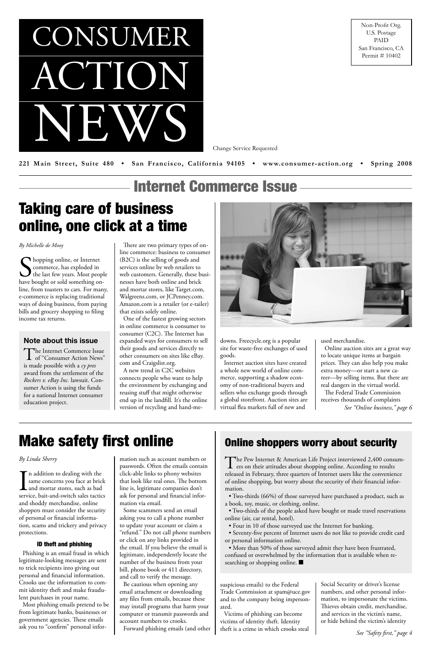ACTION

NEWS

CONSUMER

Change Service Requested

221 Main Street, Suite 480 • San Francisco, California 94105 • www.consumer-action.org • Spring 2008

Non-Profit Org. U.S. Postage PAID San Francisco, CA Permit # 10402

Internet Commerce Issue

*See "Safety first," page 4*

The Pew Internet & American Life Project interviewed 2,400 consum-<br>ers on their attitudes about shopping online. According to results released in February, three quarters of Internet users like the convenience of online shopping, but worry about the security of their financial information.

### Online shoppers worry about security

• More than 50% of those surveyed admit they have been frustrated, confused or overwhelmed by the information that is available when researching or shopping online.  $\blacksquare$ 

• Two-thirds (66%) of those surveyed have purchased a product, such as a book, toy, music, or clothing, online.

Solopping online, or Internet<br>
commerce, has exploded in<br>
the last few years. Most peopl<br>
have bought or sold something onhopping online, or Internet commerce, has exploded in  $\boldsymbol{J}$  the last few years. Most people line, from toasters to cars. For many, e-commerce is replacing traditional ways of doing business, from paying bills and grocery shopping to filing income tax returns.

> • Two-thirds of the people asked have bought or made travel reservations online (air, car rental, hotel).

• Four in 10 of those surveyed use the Internet for banking.

• Seventy-five percent of Internet users do not like to provide credit card or personal information online.

# Taking care of business online, one click at a time

#### *By Michelle de Mooy*

*See "Online business," page 6* Online auction sites are a great way to locate unique items at bargain prices. They can also help you make extra money—or start a new career—by selling items. But there are real dangers in the virtual world. The Federal Trade Commission receives thousands of complaints

In addition to dealing with the<br>same concerns you face at brick<br>and mortar stores, such as bad<br>service, bait-and-switch sales tactic same concerns you face at brick **L** and mortar stores, such as bad service, bait-and-switch sales tactics and shoddy merchandise, online shoppers must consider the security of personal or financial information, scams and trickery and privacy protections.

There are two primary types of online commerce: business to consumer (B2C) is the selling of goods and services online by web retailers to web customers. Generally, these businesses have both online and brick and mortar stores, like Target.com, Walgreens.com, or JCPenney.com. Amazon.com is a retailer (or e-tailer) that exists solely online.

One of the fastest growing sectors in online commerce is consumer to consumer (C2C). The Internet has expanded ways for consumers to sell their goods and services directly to other consumers on sites like eBay. com and Craigslist.org.

A new trend in C2C websites connects people who want to help the environment by exchanging and reusing stuff that might otherwise end up in the landfill. It's the online version of recycling and hand-me-



downs. Freecycle.org is a popular site for waste-free exchanges of used goods.

Internet auction sites have created a whole new world of online commerce, supporting a shadow economy of non-traditional buyers and sellers who exchange goods through a global storefront. Auction sites are virtual flea markets full of new and

The Internet Commerce Issue<br>
of "Consumer Action News" is made possible with a *cy pres* award from the settlement of the *Rockers v. eBay Inc.* lawsuit. Consumer Action is using the funds for a national Internet consumer education project.

used merchandise.

# Make safety first online

*By Linda Sherry*

#### ID theft and phishing

Phishing is an email fraud in which legitimate-looking messages are sent to trick recipients into giving out personal and financial information. Crooks use the information to commit identity theft and make fraudulent purchases in your name.

Most phishing emails pretend to be from legitimate banks, businesses or government agencies. These emails ask you to "confirm" personal infor-

mation such as account numbers or passwords. Often the emails contain click-able links to phony websites that look like real ones. The bottom line is, legitimate companies don't ask for personal and financial information via email. Some scammers send an email asking you to call a phone number to update your account or claim a "refund." Do not call phone numbers or click on any links provided in the email. If you believe the email is legitimate, independently locate the number of the business from your bill, phone book or 411 directory, and call to verify the message. Be cautious when opening any email attachment or downloading any files from emails, because these may install programs that harm your computer or transmit passwords and account numbers to crooks. Forward phishing emails (and other

suspicious emails) to the Federal Trade Commission at spam@uce.gov and to the company being impersonated.

Victims of phishing can become victims of identity theft. Identity theft is a crime in which crooks steal

Social Security or driver's license numbers, and other personal information, to impersonate the victims. Thieves obtain credit, merchandise, and services in the victim's name, or hide behind the victim's identity

#### **Note about this issue**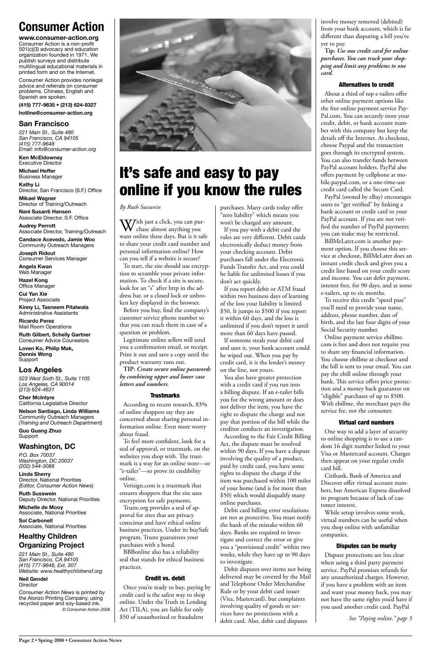## **Consumer Action**

**www.consumer-action.org** Consumer Action is a non-profit 501(c)(3) advocacy and education organization founded in 1971. We publish surveys and distribute multilingual educational materials in printed form and on the Internet.

Consumer Action provides nonlegal advice and referrals on consumer problems. Chinese, English and Spanish are spoken.

#### **(415) 777-9635 • (213) 624-8327**

**hotline@consumer-action.org**

#### **San Francisco**

*221 Main St., Suite 480 San Francisco, CA 94105 (415) 777-9648 Email: info@consumer-action.org*

**Ken McEldowney** Executive Director

**Michael Heffer** Business Manager

**Kathy Li** Director, San Francisco (S.F.) Office

**Mikael Wagner** Director of Training/Outreach

**Nani Susanti Hansen** Associate Director, S.F. Office

**Audrey Perrott** Associate Director, Training/Outreach

**Candace Acevedo, Jamie Woo** Community Outreach Managers

**Joseph Ridout** Consumer Services Manager

**Angela Kwan** Web Manager

**Hazel Kong** Office Manager

**Cui Yan Xie** Project Associate

**Kinny Li, Tasneem Pitalwala** Administrative Assistants

**Ricardo Perez** Mail Room Operations

**Ruth Gilbert, Schelly Gartner** Consumer Advice Counselors

With just a click, you can pur-<br>chase almost anything you want online these days. But is it safe to share your credit card number and personal information online? How can you tell if a website is secure?

**Loven Ko, Philip Mak, Dennis Wong** Support

### **Los Angeles**

*523 West Sixth St., Suite 1105 Los Angeles, CA 90014 (213) 624-4631*

**Cher McIntyre** California Legislative Director

**Nelson Santiago, Linda Williams** Community Outreach Managers *(Training and Outreach Department)*

**Guo Guang Zhuo** Support

#### **Washington, DC**

*P.O. Box 70037 Washington, DC 20037 (202) 544-3088*



**Linda Sherry** Director, National Priorities *(Editor, Consumer Action News)*

**Ruth Susswein** Deputy Director, National Priorities

#### **Michelle de Mooy** Associate, National Priorities

**Sol Carbonell** Associate, National Priorities

### **Healthy Children Organizing Project**

*221 Main St., Suite 480 San Francisco, CA 94105 (415) 777-9648, Ext. 307 Website: www.healthychildrensf.org*

#### **Neil Gendel**

**Director** 

*Consumer Action News* is printed by the Alonzo Printing Company, using recycled paper and soy-based ink. © Consumer Action 2008

# It's safe and easy to pay online if you know the rules

*By Ruth Susswein*

To start, the site should use encryption to scramble your private information. To check if a site is secure, look for an "s" after http in the address bar, or a closed lock or unbroken key displayed in the browser.

Before you buy, find the company's customer service phone number so that you can reach them in case of a question or problem.

Legitimate online sellers will send you a confirmation email, or receipt. Print it out and save a copy until the product warranty runs out.

**TIP:** *Create secure online passwords by combining upper and lower case letters and numbers.*

#### **Trustmarks**

According to recent research, 83% of online shoppers say they are concerned about sharing personal information online. Even more worry about fraud.

To feel more confident, look for a seal of approval, or trustmark, on the websites you shop with. The trustmark is a way for an online store—or "e-tailer"—to prove its credibility

online.

Verisign.com is a trustmark that ensures shoppers that the site uses encryption for safe payments. Truste.org provides a seal of approval for sites that are privacy conscious and have ethical online business practices. Under its buySafe program, Truste guarantees your purchases with a bond.

BBBonline also has a reliability seal that stands for ethical business practices.

#### Credit vs. debit

Once you're ready to buy, paying by credit card is the safest way to shop online. Under the Truth in Lending Act (TILA), you are liable for only \$50 of unauthorized or fraudulent

purchases. Many cards today offer "zero liability" which means you won't be charged any amount.

If you pay with a debit card the rules are very different. Debit cards electronically deduct money from your checking account. Debit purchases fall under the Electronic Funds Transfer Act, and you could be liable for unlimited losses if you don't act quickly.

If you report debit or ATM fraud within two business days of learning of the loss your liability is limited \$50. It jumps to \$500 if you report it within 60 days, and the loss is unlimited if you don't report it until more than 60 days have passed.

If someone steals your debit card and uses it, your bank account could be wiped out. When you pay by credit card, it is the lender's money on the line, not yours.

You also have greater protection with a credit card if you run into a billing dispute. If an e-tailer bills you for the wrong amount or does not deliver the item, you have the right to dispute the charge and not pay that portion of the bill while the creditor conducts an investigation.

According to the Fair Credit Billing Act, the dispute must be resolved within 90 days. If you have a dispute involving the quality of a product, paid by credit card, you have some rights to dispute the charge if the item was purchased within 100 miles of your home (and is for more than \$50) which would disqualify many online purchases. Debit card billing error resolutions are not as protective. You must notify the bank of the mistake within 60 days. Banks are required to investigate and correct the error or give you a "provisional credit" within two weeks, while they have up to 90 days to investigate. Debit disputes over items not being delivered may be covered by the Mail and Telephone Order Merchandise Rule or by your debit card issuer (Visa, Mastercard), but complaints involving quality of goods or services have no protections with a debit card. Also, debit card disputes

involve money removed (debited) from your bank account, which is far different than disputing a bill you've yet to pay.

**Tip:** *Use one credit card for online purchases. You can track your shopping and limit any problems to one card.*

#### Alternatives to credit

About a third of top e-tailers offer other online payment options like the free online payment service Pay-Pal.com. You can securely store your credit, debit, or bank account number with this company but keep the details off the Internet. At checkout, choose Paypal and the transaction goes through its encrypted system. You can also transfer funds between PayPal account holders. PayPal also offers payment by cellphone at mobile.paypal.com, or a one-time-use credit card called the Secure Card.

PayPal (owned by eBay) encourages users to "get verified" by linking a bank account or credit card to your PayPal account. If you are not verified the number of PayPal payments you can make may be restricted.

BillMeLater.com is another payment option. If you choose this service at checkout, BillMeLater does an instant credit check and gives you a credit line based on your credit score and income. You can defer payment, interest free, for 90 days, and at some e-tailers, up to six months.

To receive this credit "speed pass" you'll need to provide your name, address, phone number, date of birth, and the last four digits of your Social Security number.

Online payment service ebillme. com is free and does not require you to share any financial information. You choose ebillme at checkout and the bill is sent to your email. You can pay the ebill online through your bank. This service offers price protection and a money back guarantee on "eligible" purchases of up to \$500. With ebillme, the merchant pays the service fee, not the consumer.

#### Virtual card numbers

One way to add a layer of security to online shopping is to use a random 16 digit number linked to your Visa or Mastercard account. Charges then appear on your regular credit card bill.

Citibank, Bank of America and Discover offer virtual account numbers, but American Express dissolved its program because of lack of customer interest. While setup involves some work, virtual numbers can be useful when you shop online with unfamiliar companies.

#### Disputes can be murky

Dispute protections are less clear when using a third party payment service. PayPal promises refunds for any unauthorized charges. However, if you have a problem with an item and want your money back, you may not have the same rights you'd have if you used another credit card. PayPal

*See "Paying online," page 5*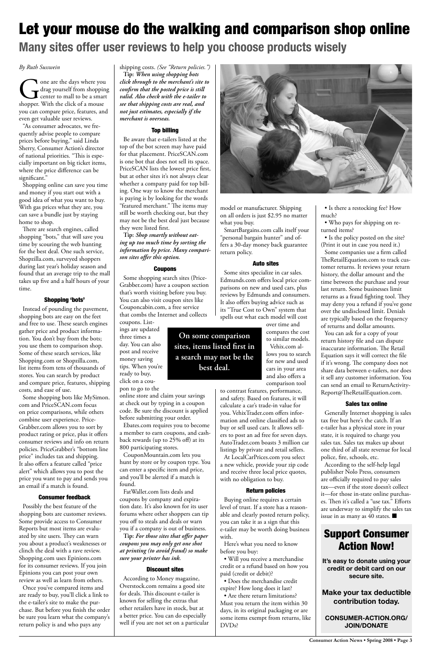**Consumer Action News • Spring 2008 • Page** 

# Let your mouse do the walking and comparison shop online **Many sites offer user reviews to help you choose products wisely**

#### *By Ruth Susswein*

One are the days where you<br>drag yourself from shopping<br>center to mall to be a smart<br>shopper. With the click of a mouse drag yourself from shopping center to mall to be a smart shopper. With the click of a mouse you can compare price, features, and even get valuable user reviews.

"As consumer advocates, we frequently advise people to compare prices before buying," said Linda Sherry, Consumer Action's director of national priorities. "This is especially important on big ticket items, where the price difference can be significant."

Shopping online can save you time and money if you start out with a good idea of what you want to buy. With gas prices what they are, you can save a bundle just by staying home to shop.

There are search engines, called shopping "bots," that will save you time by scouring the web hunting for the best deal. One such service, Shopzilla.com, surveyed shoppers during last year's holiday season and found that an average trip to the mall takes up five and a half hours of your time.

#### Shopping 'bots'

Instead of pounding the pavement, shopping bots are easy on the feet and free to use. These search engines gather price and product information. You don't buy from the bots; you use them to comparison shop. Some of these search services, like Shopping.com or Shopzilla.com, list items from tens of thousands of stores. You can search by product and compare price, features, shipping costs, and ease of use.

Some shopping bots like MySimon. com and PriceSCAN.com focus on price comparisons, while others combine user experience. Price-Grabber.com allows you to sort by product rating or price, plus it offers consumer reviews and info on return policies. PriceGrabber's "bottom line price" includes tax and shipping. It also offers a feature called "price alert" which allows you to post the

price you want to pay and sends you an email if a match is found.

#### Consumer feedback

Possibly the best feature of the shopping bots are customer reviews. Some provide access to Consumer Reports but most items are evaluated by site users. They can warn you about a product's weaknesses or clinch the deal with a rave review. Shopping.com uses Epinions.com for its consumer reviews. If you join Epinions you can post your own review as well as learn from others.

Once you've compared items and are ready to buy, you'll click a link to the e-tailer's site to make the purchase. But before you finish the order be sure you learn what the company's return policy is and who pays any

shipping costs. *(See "Return policies.")* **Tip:** *When using shopping bots click through to the merchant's site to confirm that the posted price is still valid. Also check with the e-tailer to see that shipping costs are real, and not just estimates, especially if the merchant is overseas.*

#### Top billing

Be aware that e-tailers listed at the top of the bot screen may have paid for that placement. PriceSCAN.com is one bot that does not sell its space. PriceSCAN lists the lowest price first, but at other sites it's not always clear whether a company paid for top billing. One way to know the merchant is paying is by looking for the words "featured merchant." The items may still be worth checking out, but they may not be the best deal just because they were listed first.

> • Are there return limitations? Must you return the item within 30 days, in its original packaging or are some items exempt from returns, like DVDs?

**Tip:** *Shop smartly without eating up too much time by sorting the information by price. Many comparison sites offer this option.*

#### Coupons

Some shopping search sites (Price-Grabber.com) have a coupon section that's worth visiting before you buy. You can also visit coupon sites like Couponcabin.com, a free service that combs the Internet and collects coupons. List-

ings are updated three times a day. You can also post and receive money saving tips. When you're ready to buy, click on a cou-

> According to the self-help legal publisher Nolo Press, consumers are officially required to pay sales tax—even if the store doesn't collect it—for those in-state online purchases. Then it's called a "use tax." Efforts are underway to simplify the sales tax issue in as many as 40 states.  $\blacksquare$

pon to go to the online store and claim your savings at check out by typing in a coupon code. Be sure the discount is applied before submitting your order.

Ebates.com requires you to become a member to earn coupons, and cashback rewards (up to 25% off) at its 800 participating stores.

CouponMountain.com lets you hunt by store or by coupon type. You can enter a specific item and price,



and you'll be alerted if a match is found.

FatWallet.com lists deals and coupons by company and expiration date. It's also known for its user forums where other shoppers can tip you off to steals and deals or warn you if a company is out of business. **Tip:** *For those sites that offer paper coupons you may only get one shot at printing (to avoid fraud) so make sure your printer has ink.*

#### Discount sites

According to Money magazine, Overstock.com remains a good site for deals. This discount e-tailer is known for selling the extras that other retailers have in stock, but at a better price. You can do especially well if you are not set on a particular model or manufacturer. Shipping on all orders is just \$2.95 no matter what you buy.

SmartBargains.com calls itself your "personal bargain hunter" and offers a 30-day money back guarantee return policy.

#### Auto sites

Some sites specialize in car sales. Edmunds.com offers local price comparisons on new and used cars, plus reviews by Edmunds and consumers. It also offers buying advice such as its "True Cost to Own" system that spells out what each model will cost

over time and compares the cost to similar models. Vehix.com al-

lows you to search for new and used cars in your area and also offers a comparison tool

to contrast features, performance, and safety. Based on features, it will calculate a car's trade-in value for you. VehixTrader.com offers information and online classified ads to buy or sell used cars. It allows sellers to post an ad free for seven days. AutoTrader.com boasts 3 million car listings by private and retail sellers.

At LocalCarPrices.com you select a new vehicle, provide your zip code and receive three local price quotes, with no obligation to buy.

#### Return policies

Buying online requires a certain level of trust. If a store has a reasonable and clearly posted return policy, you can take it as a sign that this e-tailer may be worth doing business with.

Here's what you need to know before you buy:

• Will you receive a merchandise credit or a refund based on how you paid (credit or debit)?

• Does the merchandise credit expire? How long does it last?

• Is there a restocking fee? How much?

• Who pays for shipping on returned items?

• Is the policy posted on the site? (Print it out in case you need it.) Some companies use a firm called TheRetailEquation.com to track customer returns. It reviews your return history, the dollar amount and the time between the purchase and your last return. Some businesses limit returns as a fraud fighting tool. They may deny you a refund if you've gone over the undisclosed limit. Denials are typically based on the frequency of returns and dollar amounts.

You can ask for a copy of your return history file and can dispute inaccurate information. The Retail Equation says it will correct the file if it's wrong. The company does not share data between e-tailers, nor does it sell any customer information. You can send an email to ReturnActivity-Report@TheRetailEquation.com.

#### Sales tax online

Generally Internet shopping is sales tax free but here's the catch. If an e-tailer has a physical store in your state, it is required to charge you sales tax. Sales tax makes up about one third of all state revenue for local police, fire, schools, etc.

### **On some comparison sites, items listed first in a search may not be the best deal.**

### Support Consumer Action Now!

**It's easy to donate using your credit or debit card on our secure site.**

**Make your tax deductible contribution today.**

#### **CONSUMER-ACTION.ORG/ JOIN/DONATE**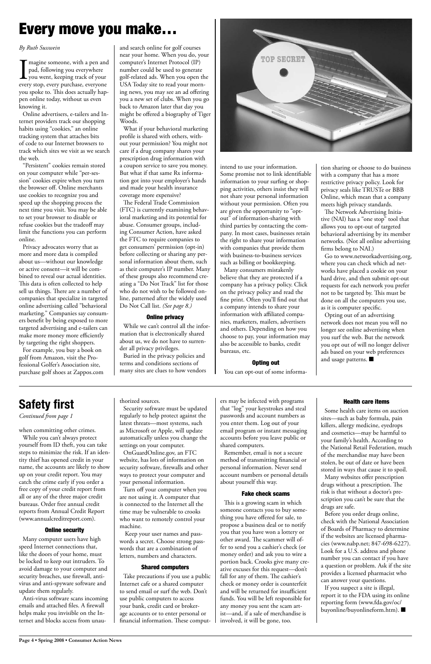### **Safety first**

*Continued from page 1*

# Every move you make…

#### *By Ruth Susswein*

I<br>ever magine someone, with a pen and pad, following you everywhere you went, keeping track of your every stop, every purchase, everyone you spoke to. This does actually happen online today, without us even knowing it.

Online advertisers, e-tailers and Internet providers track our shopping habits using "cookies," an online tracking system that attaches bits of code to our Internet browsers to track which sites we visit as we search the web.

"Persistent" cookies remain stored on your computer while "per-session" cookies expire when you turn the browser off. Online merchants use cookies to recognize you and speed up the shopping process the next time you visit. You may be able to set your browser to disable or refuse cookies but the tradeoff may limit the functions you can perform online.

Privacy advocates worry that as more and more data is compiled about us—without our knowledge or active consent—it will be combined to reveal our actual identities. This data is often collected to help sell us things. There are a number of companies that specialize in targeted online advertising called "behavioral marketing." Companies say consumers benefit by being exposed to more targeted advertising and e-tailers can make more money more efficiently by targeting the right shoppers.

For example, you buy a book on golf from Amazon, visit the Professional Golfer's Association site, purchase golf shoes at Zappos.com and search online for golf courses near your home. When you do, your computer's Internet Protocol (IP) number could be used to generate golf-related ads. When you open the USA Today site to read your morning news, you may see an ad offering you a new set of clubs. When you go back to Amazon later that day you might be offered a biography of Tiger Woods.

What if your behavioral marketing profile is shared with others, without your permission? You might not care if a drug company shares your prescription drug information with a coupon service to save you money. But what if that same Rx information got into your employer's hands and made your health insurance coverage more expensive?

> Opting out of an advertising network does not mean you will no longer see online advertising when you surf the web. But the network you opt out of will no longer deliver ads based on your web preferences and usage patterns.  $\blacksquare$

The Federal Trade Commission (FTC) is currently examining behavioral marketing and its potential for abuse. Consumer groups, including Consumer Action, have asked the FTC to require companies to get consumers' permission (opt-in) before collecting or sharing any personal information about them, such as their computer's IP number. Many of these groups also recommend creating a "Do Not Track" list for those who do not wish to be followed online, patterned after the widely used Do Not Call list. *(See page 8.)*

#### Online privacy

While we can't control all the information that is electronically shared about us, we do not have to surrender all privacy privileges.

Buried in the privacy policies and terms and conditions sections of many sites are clues to how vendors



intend to use your information. Some promise not to link identifiable information to your surfing or shopping activities, others insist they will not share your personal information without your permission. Often you are given the opportunity to "optout" of information-sharing with third parties by contacting the company. In most cases, businesses retain the right to share your information with companies that provide them with business-to-business services such as billing or bookkeeping.

> Some health care items on auction sites—such as baby formula, pain killers, allergy medicine, eyedrops and cosmetics—may be harmful to your family's health. According to the National Retail Federation, much of the merchandise may have been stolen, be out of date or have been stored in ways that cause it to spoil. Many websites offer prescription drugs without a prescription. The risk is that without a doctor's prescription you can't be sure that the drugs are safe. Before you order drugs online, check with the National Association of Boards of Pharmacy to determine if the websites are licensed pharmacies (www.nabp.net; 847-698-6227). Look for a U.S. address and phone number you can contact if you have a question or problem. Ask if the site provides a licensed pharmacist who can answer your questions. If you suspect a site is illegal, report it to the FDA using its online reporting form (www.fda.gov/oc/ buyonline/buyonlineform.htm). ■

Many consumers mistakenly believe that they are protected if a company has a privacy policy. Click on the privacy policy and read the fine print. Often you'll find out that a company intends to share your information with affiliated companies, marketers, mailers, advertisers and others. Depending on how you choose to pay, your information may also be accessible to banks, credit bureaus, etc.

#### Opting out

You can opt-out of some informa-

tion sharing or choose to do business with a company that has a more restrictive privacy policy. Look for privacy seals like TRUSTe or BBB Online, which mean that a company meets high privacy standards.

The Network Advertising Initiative (NAI) has a "one stop" tool that allows you to opt-out of targeted behavioral advertising by its member networks. (Not all online advertising firms belong to NAI.)

Go to www.networkadvertising.org, where you can check which ad networks have placed a cookie on your hard drive, and then submit opt-out requests for each network you prefer not to be targeted by. This must be done on all the computers you use, as it is computer specific.

when committing other crimes.

While you can't always protect yourself from ID theft, you can take steps to minimize the risk. If an identity thief has opened credit in your name, the accounts are likely to show up on your credit report. You may catch the crime early if you order a free copy of your credit report from all or any of the three major credit bureaus. Order free annual credit reports from Annual Credit Report (www.annualcreditreport.com).

#### Online security

Many computer users have high speed Internet connections that, like the doors of your home, must be locked to keep out intruders. To avoid damage to your computer and security breaches, use firewall, antivirus and anti-spyware software and update them regularly.

Anti-virus software scans incoming emails and attached files. A firewall helps make you invisible on the Internet and blocks access from unauthorized sources.

Security software must be updated regularly to help protect against the latest threats—most systems, such as Microsoft or Apple, will update automatically unless you change the settings on your computer.

OnGuardOnline.gov, an FTC website, has lots of information on security software, firewalls and other ways to protect your computer and your personal information. Turn off your computer when you are not using it. A computer that is connected to the Internet all the time may be vulnerable to crooks who want to remotely control your machine. Keep your user names and passwords a secret. Choose strong passwords that are a combination of letters, numbers and characters.

#### Shared computers

Take precautions if you use a public Internet cafe or a shared computer to send email or surf the web. Don't use public computers to access your bank, credit card or brokerage accounts or to enter personal or financial information. These comput-

#### Health care items

ers may be infected with programs that "log" your keystrokes and steal passwords and account numbers as you enter them. Log out of your email program or instant messaging accounts before you leave public or shared computers.

Remember, email is not a secure method of transmitting financial or personal information. Never send account numbers or personal details about yourself this way.

#### Fake check scams

This is a growing scam in which someone contacts you to buy something you have offered for sale, to propose a business deal or to notify you that you have won a lottery or other award. The scammer will offer to send you a cashier's check (or money order) and ask you to wire a portion back. Crooks give many creative excuses for this request—don't fall for any of them. The cashier's check or money order is counterfeit and will be returned for insufficient funds. You will be left responsible for any money you sent the scam artist—and, if a sale of merchandise is involved, it will be gone, too.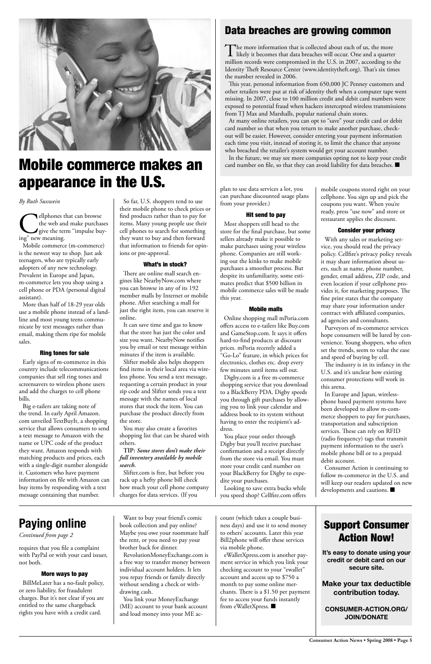**Consumer Action News • Spring 2008 • Page** 



# Mobile commerce makes an appearance in the U.S.

### Data breaches are growing common

The more information that is collected about each of us, the more<br>likely it becomes that data breaches will occur. One and a quarter million records were compromised in the U.S. in 2007, according to the Identity Theft Resource Center (www.identitytheft.org). That's six times the number revealed in 2006.

In the future, we may see more companies opting not to keep your credit card number on file, so that they can avoid liability for data breaches.  $\blacksquare$ 

This year, personal information from 650,000 JC Penney customers and other retailers were put at risk of identity theft when a computer tape went missing. In 2007, close to 100 million credit and debit card numbers were exposed to potential fraud when hackers intercepted wireless transmissions from TJ Max and Marshalls, popular national chain stores.

ellphones that can browse<br>the web and make purchas<br>give the term "impulse buy"<br>new meaning. the web and make purchases give the term "impulse buying" new meaning.

At many online retailers, you can opt to "save" your credit card or debit card number so that when you return to make another purchase, checkout will be easier. However, consider entering your payment information each time you visit, instead of storing it, to limit the chance that anyone who breached the retailer's system would get your account number.

# **Paying online**

*Continued from page 2*

requires that you file a complaint with PayPal or with your card issuer, not both.

#### More ways to pay

BillMeLater has a no-fault policy, or zero liability, for fraudulent charges. But it's not clear if you are entitled to the same chargeback rights you have with a credit card.

#### *By Ruth Susswein*

Mobile commerce (m-commerce) is the newest way to shop. Just ask teenagers, who are typically early adopters of any new technology. Prevalent in Europe and Japan, m-commerce lets you shop using a cell phone or PDA (personal digital assistant).

More than half of 18-29 year olds use a mobile phone instead of a landline and most young teens communicate by text messages rather than email, making them ripe for mobile sales.

#### Ring tones for sale

Early signs of m-commerce in this country include telecommunications companies that sell ring tones and screensavers to wireless phone users and add the charges to cell phone bills.

Big e-tailers are taking note of the trend. In early April Amazon. com unveiled TextBuyIt, a shopping service that allows consumers to send a text message to Amazon with the name or UPC code of the product they want. Amazon responds with matching products and prices, each with a single-digit number alongside it. Customers who have payment information on file with Amazon can buy items by responding with a text message containing that number.

So far, U.S. shoppers tend to use their mobile phone to check prices or find products rather than to pay for items. Many young people use their cell phones to search for something they want to buy and then forward that information to friends for opinions or pre-approval.

#### What's in stock?

There are online mall search engines like NearbyNow.com where you can browse in any of its 192 member malls by Internet or mobile phone. After searching a mall for just the right item, you can reserve it online.

> Consumer Action is continuing to follow m-commerce in the U.S. and will keep our readers updated on new developments and cautions.  $\blacksquare$

It can save time and gas to know that the store has just the color and size you want. NearbyNow notifies you by email or text message within minutes if the item is available.

Slifter mobile also helps shoppers find items in their local area via wireless phone. You send a text message, requesting a certain product in your zip code and Slifter sends you a text message with the names of local stores that stock the item. You can purchase the product directly from the store.

> eWalletXpress.com is another payment service in which you link your checking account to your "ewallet" account and access up to \$750 a month to pay some online merchants. There is a \$1.50 per payment fee to access your funds instantly from eWalletXpress.  $\blacksquare$

You may also create a favorites shopping list that can be shared with others.

#### **TIP:** *Some stores don't make their full inventory available by mobile search.*

Slifter.com is free, but before you rack up a hefty phone bill check how much your cell phone company charges for data services. (If you

plan to use data services a lot, you can purchase discounted usage plans from your provider.)

#### Hit send to pay

Most shoppers still head to the store for the final purchase, but some sellers already make it possible to make purchases using your wireless phone. Companies are still working out the kinks to make mobile purchases a smoother process. But despite its unfamiliarity, some estimates predict that \$500 billion in mobile commerce sales will be made this year.

#### Mobile malls

Online shopping mall mPoria.com offers access to e-tailers like Buy.com and GameStop.com. It says it offers hard-to-find products at discount prices. mPoria recently added a "Go-Lo" feature, in which prices for electronics, clothes etc. drop every few minutes until items sell out.

Digby.com is a free m-commerce shopping service that you download to a BlackBerry PDA. Digby speeds you through gift purchases by allowing you to link your calendar and address book to its system without having to enter the recipient's address.

You place your order through Digby but you'll receive purchase confirmation and a receipt directly from the store via email. You must store your credit card number on your BlackBerry for Digby to expedite your purchases.

Looking to save extra bucks while you speed shop? Cellfire.com offers

mobile coupons stored right on your cellphone. You sign up and pick the coupons you want. When you're ready, press "use now" and store or restaurant applies the discount.

#### Consider your privacy

With any sales or marketing service, you should read the privacy policy. Cellfire's privacy policy reveals it may share information about users, such as name, phone number, gender, email address, ZIP code, and even location if your cellphone provides it, for marketing purposes. The fine print states that the company may share your information under contract with affiliated companies, ad agencies and consultants.

Purveyors of m-commerce services hope consumers will be lured by convenience. Young shoppers, who often set the trends, seem to value the ease and speed of buying by cell.

The industry is in its infancy in the U.S. and it's unclear how existing consumer protections will work in this arena.

In Europe and Japan, wirelessphone based payment systems have been developed to allow m-commerce shoppers to pay for purchases, transportation and subscription services. These can rely on RFID (radio frequency) tags that transmit payment information to the user's mobile phone bill or to a prepaid debit account.

Want to buy your friend's comic book collection and pay online? Maybe you owe your roommate half the rent, or you need to pay your brother back for dinner. RevolutionMoneyExchange.com is

a free way to transfer money between individual account holders. It lets you repay friends or family directly without sending a check or withdrawing cash.

You link your MoneyExchange (ME) account to your bank account and load money into your ME account (which takes a couple business days) and use it to send money to others' accounts. Later this year Bill2phone will offer these services via mobile phone.

### Support Consumer Action Now!

**It's easy to donate using your credit or debit card on our secure site.**

**Make your tax deductible contribution today.**

#### **CONSUMER-ACTION.ORG/ JOIN/DONATE**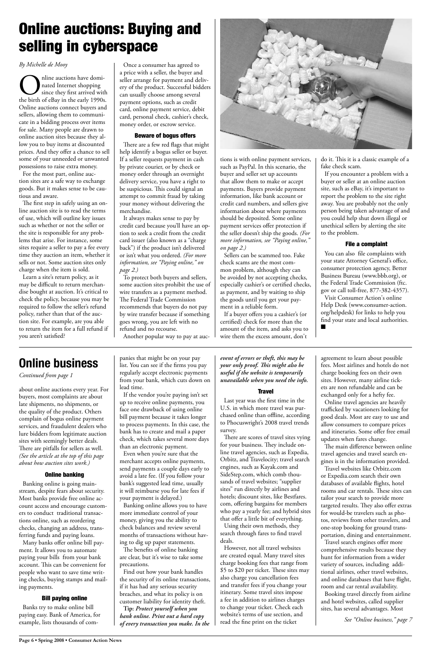# Online auctions: Buying and selling in cyberspace

#### *By Michelle de Mooy*

Online auctions have domi-<br>
since they first arrived with<br>
the birth of eBay in the early 1990s. nated Internet shopping since they first arrived with Online auctions connect buyers and sellers, allowing them to communicate in a bidding process over items for sale. Many people are drawn to online auction sites because they allow you to buy items at discounted prices. And they offer a chance to sell some of your unneeded or unwanted possessions to raise extra money.

For the most part, online auction sites are a safe way to exchange goods. But it makes sense to be cautious and aware.

The first step in safely using an online auction site is to read the terms of use, which will outline key issues such as whether or not the seller or the site is responsible for any problems that arise. For instance, some sites require a seller to pay a fee every time they auction an item, whether it sells or not. Some auction sites only charge when the item is sold.

Learn a site's return policy, as it may be difficult to return merchandise bought at auction. It's critical to check the policy, because you may be required to follow the seller's refund policy, rather than that of the auction site. For example, are you able to return the item for a full refund if you aren't satisfied?

Once a consumer has agreed to a price with a seller, the buyer and seller arrange for payment and delivery of the product. Successful bidders can usually choose among several payment options, such as credit card, online payment service, debit card, personal check, cashier's check, money order, or escrow service.

#### Beware of bogus offers

There are a few red flags that might help identify a bogus seller or buyer. If a seller requests payment in cash by private courier, or by check or money order through an overnight delivery service, you have a right to be suspicious. This could signal an attempt to commit fraud by taking your money without delivering the merchandise.

It always makes sense to pay by credit card because you'll have an option to seek a credit from the credit card issuer (also known as a "charge back") if the product isn't delivered or isn't what you ordered. *(For more information, see "Paying online," on page 2.)*

To protect both buyers and sellers, some auction sites prohibit the use of wire transfers as a payment method. The Federal Trade Commission recommends that buyers do not pay by wire transfer because if something goes wrong, you are left with no refund and no recourse.

Another popular way to pay at auc-



tions is with online payment services, such as PayPal. In this scenario, the buyer and seller set up accounts that allow them to make or accept payments. Buyers provide payment information, like bank account or credit card numbers, and sellers give information about where payments should be deposited. Some online payment services offer protection if the seller doesn't ship the goods. *(For more information, see "Paying online," on page 2.)*

Sellers can be scammed too. Fake check scams are the most common problem, although they can be avoided by not accepting checks, especially cashier's or certified checks, as payment, and by waiting to ship the goods until you get your payment in a reliable form.

If a buyer offers you a cashier's (or certified) check for more than the amount of the item, and asks you to wire them the excess amount, don't

do it. This it is a classic example of a fake check scam.

If you encounter a problem with a buyer or seller at an online auction site, such as eBay, it's important to report the problem to the site right away. You are probably not the only person being taken advantage of and you could help shut down illegal or unethical sellers by alerting the site to the problem.

#### File a complaint

You can also file complaints with your state Attorney General's office, consumer protection agency, Better Business Bureau (www.bbb.org), or the Federal Trade Commission (ftc. gov or call toll-free, 877-382-4357). Visit Consumer Action's online Help Desk (www.consumer-action. org/helpdesk) for links to help you find your state and local authorities. n

### **Online business**

*Continued from page 1*

about online auctions every year. For buyers, most complaints are about late shipments, no shipments, or the quality of the product. Others complain of bogus online payment services, and fraudulent dealers who lure bidders from legitimate auction sites with seemingly better deals. There are pitfalls for sellers as well. *(See the article at the top of this page about how auction sites work.)*

#### Online banking

Banking online is going mainstream, despite fears about security. Most banks provide free online account access and encourage customers to conduct traditional transactions online, such as reordering checks, changing an address, transferring funds and paying loans.

Many banks offer online bill payment. It allows you to automate paying your bills from your bank account. This can be convenient for people who want to save time writing checks, buying stamps and mailing payments.

#### Bill paying online

Banks try to make online bill paying easy. Bank of America, for example, lists thousands of com-

panies that might be on your pay list. You can see if the firms you pay regularly accept electronic payments from your bank, which cuts down on lead time.

If the vendor you're paying isn't set up to receive online payments, you face one drawback of using online bill payment because it takes longer to process payments. In this case, the bank has to create and mail a paper check, which takes several more days than an electronic payment.

Even when you're sure that the merchant accepts online payments, send payments a couple days early to avoid a late fee. (If you follow your bank's suggested lead time, usually it will reimburse you for late fees if your payment is delayed.) Banking online allows you to have more immediate control of your money, giving you the ability to check balances and review several months of transactions without having to dig up paper statements. The benefits of online banking are clear, but it's wise to take some precautions. Find out how your bank handles the security of its online transactions, if it has had any serious security breaches, and what its policy is on customer liability for identity theft. **Tip:** *Protect yourself when you bank online. Print out a hard copy of every transaction you make. In the*  *event of errors or theft, this may be your only proof. This might also be useful if the website is temporarily unavailable when you need the info.* 

#### **Travel**

Last year was the first time in the U.S. in which more travel was purchased online than offline, according to Phocuswright's 2008 travel trends survey.

There are scores of travel sites vying for your business. They include online travel agencies, such as Expedia, Orbitz, and Travelocity; travel search engines, such as Kayak.com and SideStep.com, which comb thousands of travel websites; "supplier sites" run directly by airlines and hotels; discount sites, like Bestfares. com, offering bargains for members who pay a yearly fee; and hybrid sites that offer a little bit of everything. Using their own methods, they search through fares to find travel deals. However, not all travel websites are created equal. Many travel sites charge booking fees that range from \$5 to \$20 per ticket. These sites may also charge you cancellation fees and transfer fees if you change your itinerary. Some travel sites impose a fee in addition to airlines charges to change your ticket. Check each website's terms of use section, and read the fine print on the ticket

agreement to learn about possible fees. Most airlines and hotels do not charge booking fees on their own sites. However, many airline tickets are non refundable and can be exchanged only for a hefty fee.

Online travel agencies are heavily trafficked by vacationers looking for good deals. Most are easy to use and allow consumers to compare prices and itineraries. Some offer free email updates when fares change.

The main difference between online travel agencies and travel search engines is in the information provided.

Travel websites like Orbitz.com or Expedia.com search their own databases of available flights, hotel rooms and car rentals. These sites can tailor your search to provide more targeted results. They also offer extras for would-be travelers such as photos, reviews from other travelers, and one-stop booking for ground transportation, dining and entertainment. Travel search engines offer more comprehensive results because they hunt for information from a wider variety of sources, including additional airlines, other travel websites, and online databases that have flight, room and car rental availability. Booking travel directly from airline and hotel websites, called supplier sites, has several advantages. Most

*See "Online business," page 7*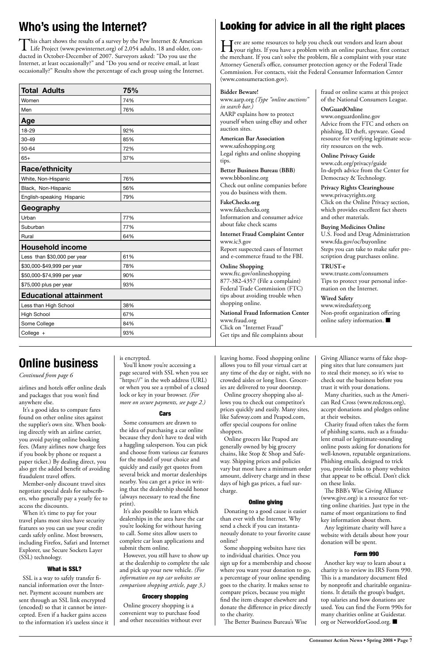### Looking for advice in all the right places

Fore are some resources to help you check out vendors and learn about<br>your rights. If you have a problem with an online purchase, first contact the merchant. If you can't solve the problem, file a complaint with your state Attorney General's office, consumer protection agency or the Federal Trade Commission. For contacts, visit the Federal Consumer Information Center (www.consumeraction.gov).

> fraud or online scams at this project of the National Consumers League.

www.wiredsafety.org Non-profit organization offering online safety information.  $\blacksquare$ 

**OnGuardOnline** www.onguardonline.gov Advice from the FTC and others on phishing, ID theft, spyware. Good resource for verifying legitimate security resources on the web.

**Online Privacy Guide** www.cdt.org/privacy/guide In-depth advice from the Center for Democracy & Technology.

**Privacy Rights Clearinghouse** www.privacyrights.org Click on the Online Privacy section, which provides excellent fact sheets and other materials.

**Buying Medicines Online** U.S. Food and Drug Administration www.fda.gov/oc/buyonline Steps you can take to make safer prescription drug purchases online.

#### **TRUST-e**

www.truste.com/consumers Tips to protect your personal information on the Internet.

#### **Wired Safety**

#### **Bidder Beware!** www.aarp.org *(Type "online auctions" in search bar.)* AARP explains how to protect yourself when using eBay and other auction sites. **American Bar Association** www.safeshopping.org Legal rights and online shopping tips. **Better Business Bureau (BBB)** www.bbbonline.org Check out online companies before you do business with them. **FakeChecks.org** www.fakechecks.org Information and consumer advice about fake check scams **Internet Fraud Complaint Center** www.ic3.gov Report suspected cases of Internet and e-commerce fraud to the FBI. **Online Shopping** www.ftc.gov/onlineshopping

You'll know you're accessing a page secured with SSL when you see "https://" in the web address (URL) or when you see a symbol of a closed lock or key in your browser. *(For more on secure payments, see page 2.)*

#### **Cars**

877-382-4357 (File a complaint) Federal Trade Commission (FTC) tips about avoiding trouble when shopping online.

**National Fraud Information Center** www.fraud.org Click on "Internet Fraud" Get tips and file complaints about

airlines and hotels offer online deals and packages that you won't find anywhere else.

It's a good idea to compare fares found on other online sites against the supplier's own site. When booking directly with an airline carrier, you avoid paying online booking fees. (Many airlines now charge fees if you book by phone or request a paper ticket.) By dealing direct, you also get the added benefit of avoiding

fraudulent travel offers.

Member-only discount travel sites negotiate special deals for subscribers, who generally pay a yearly fee to access the discounts.

When it's time to pay for your travel plans most sites have security features so you can use your credit cards safely online. Most browsers, including Firefox, Safari and Internet Explorer, use Secure Sockets Layer (SSL) technology.

#### What is SSL?

SSL is a way to safely transfer financial information over the Internet. Payment account numbers are sent through an SSL link encrypted (encoded) so that it cannot be intercepted. Even if a hacker gains access to the information it's useless since it

Another key way to learn about a charity is to review its IRS Form 990. This is a mandatory document filed by nonprofit and charitable organizations. It details the group's budget, top salaries and how donations are used. You can find the Form 990s for many charities online at Guidestar. org or NetworkforGood.org. ■

#### is encrypted.

This chart shows the results of a survey by the Pew Internet & American Life Project (www.pewinternet.org) of 2,054 adults, 18 and older, conducted in October-December of 2007. Surveyors asked: "Do you use the Internet, at least occasionally?" and "Do you send or receive email, at least occasionally?" Results show the percentage of each group using the Internet.

> Some consumers are drawn to the idea of purchasing a car online because they don't have to deal with a haggling salesperson. You can pick and choose from various car features for the model of your choice and quickly and easily get quotes from several brick and mortar dealerships nearby. You can get a price in writing that the dealership should honor (always necessary to read the fine print). It's also possible to learn which dealerships in the area have the car you're looking for without having to call. Some sites allow users to complete car loan applications and submit them online. However, you still have to show up at the dealership to complete the sale and pick up your new vehicle. *(For information on top car websites see comparison shopping article, page 3.)*

#### Grocery shopping

Online grocery shopping is a convenient way to purchase food and other necessities without ever leaving home. Food shopping online allows you to fill your virtual cart at any time of the day or night, with no crowded aisles or long lines. Groceries are delivered to your doorstep.

Online grocery shopping also allows you to check out competitor's prices quickly and easily. Many sites, like Safeway.com and Peapod.com, offer special coupons for online shoppers.

Online grocers like Peapod are generally owned by big grocery chains, like Stop & Shop and Safeway. Shipping prices and policies vary but most have a minimum order amount, delivery charge and in these days of high gas prices, a fuel surcharge.

#### Online giving

Donating to a good cause is easier than ever with the Internet. Why send a check if you can instantaneously donate to your favorite cause online?

Some shopping websites have ties to individual charities. Once you sign up for a membership and choose where you want your donation to go, a percentage of your online spending goes to the charity. It makes sense to compare prices, because you might find the item cheaper elsewhere and donate the difference in price directly to the charity.

The Better Business Bureau's Wise

Giving Alliance warns of fake shopping sites that lure consumers just to steal their money, so it's wise to check out the business before you trust it with your donations.

Many charities, such as the American Red Cross (www.redcross.org), accept donations and pledges online at their websites.

Charity fraud often takes the form of phishing scams, such as a fraudulent email or legitimate-sounding online posts asking for donations for well-known, reputable organizations. Phishing emails, designed to trick you, provide links to phony websites

that appear to be official. Don't click on these links.

The BBB's Wise Giving Alliance (www.give.org) is a resource for vetting online charities. Just type in the name of most organizations to find key information about them.

Any legitimate charity will have a website with details about how your donation will be spent.

#### Form 990

| <b>Total Adults</b>           | 75% |  |  |
|-------------------------------|-----|--|--|
| Women                         | 74% |  |  |
| Men                           | 76% |  |  |
| Age                           |     |  |  |
| 18-29                         | 92% |  |  |
| 30-49                         | 85% |  |  |
| 50-64                         | 72% |  |  |
| $65+$                         | 37% |  |  |
| <b>Race/ethnicity</b>         |     |  |  |
| White, Non-Hispanic           | 76% |  |  |
| Black, Non-Hispanic           | 56% |  |  |
| English-speaking Hispanic     | 79% |  |  |
| Geography                     |     |  |  |
| Urban                         | 77% |  |  |
| Suburban                      | 77% |  |  |
| Rural                         | 64% |  |  |
| <b>Household income</b>       |     |  |  |
| Less than \$30,000 per year   | 61% |  |  |
| \$30,000-\$49,999 per year    | 78% |  |  |
| \$50,000-\$74,999 per year    | 90% |  |  |
| \$75,000 plus per year        | 93% |  |  |
| <b>Educational attainment</b> |     |  |  |
| Less than High School         | 38% |  |  |
| <b>High School</b>            | 67% |  |  |
| Some College                  | 84% |  |  |
| College +                     | 93% |  |  |

### **Who's using the Internet?**

# **Online business**

*Continued from page 6*